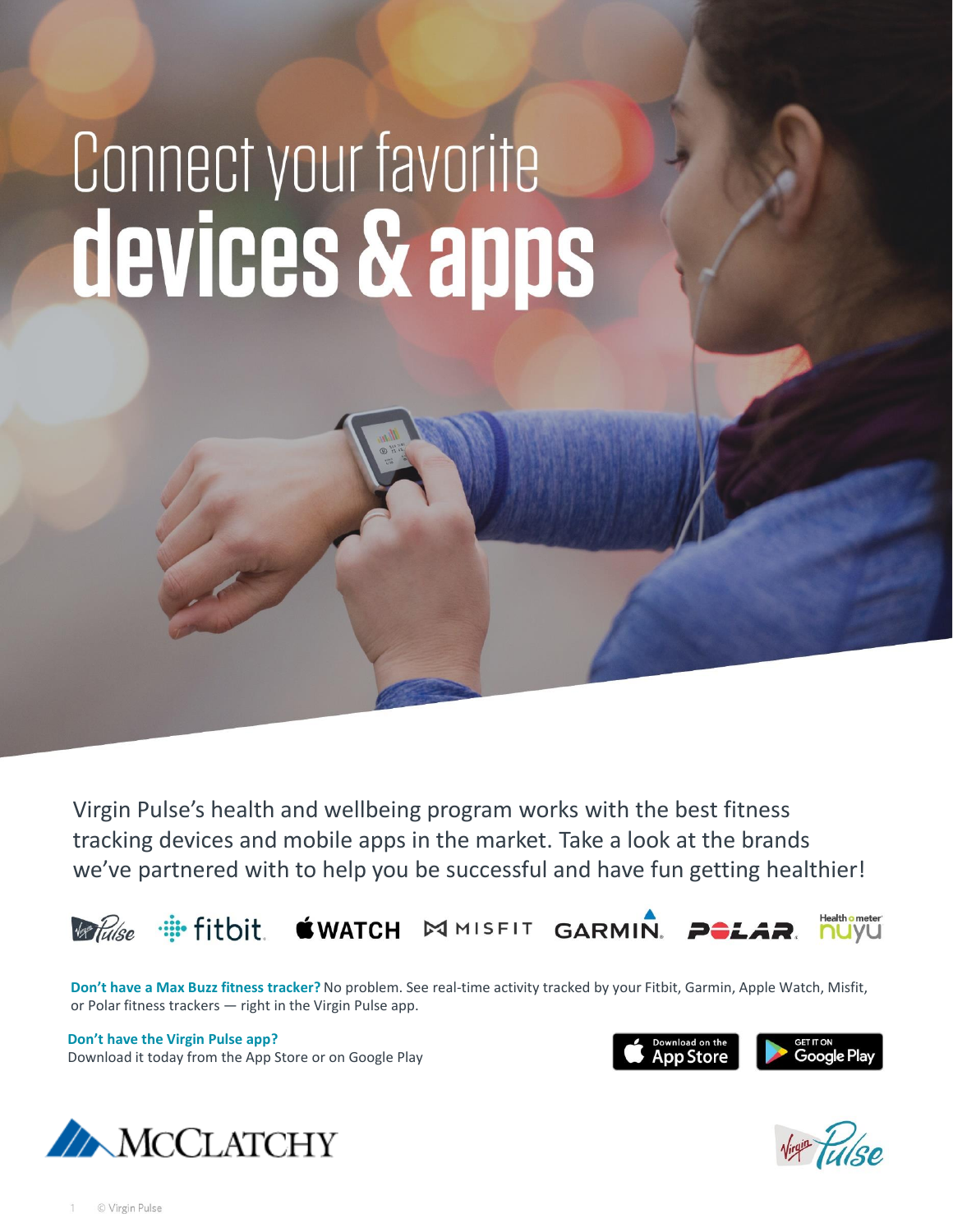# **Connect your favorite<br>devices & apps**

Virgin Pulse's health and wellbeing program works with the best fitness tracking devices and mobile apps in the market. Take a look at the brands we've partnered with to help you be successful and have fun getting healthier!



**Don't have a Max Buzz fitness tracker?** No problem. See real-time activity tracked by your Fitbit, Garmin, Apple Watch, Misfit, or Polar fitness trackers — right in the Virgin Pulse app.

**Don't have the Virgin Pulse app?**  Download it today from the App Store or on Google Play





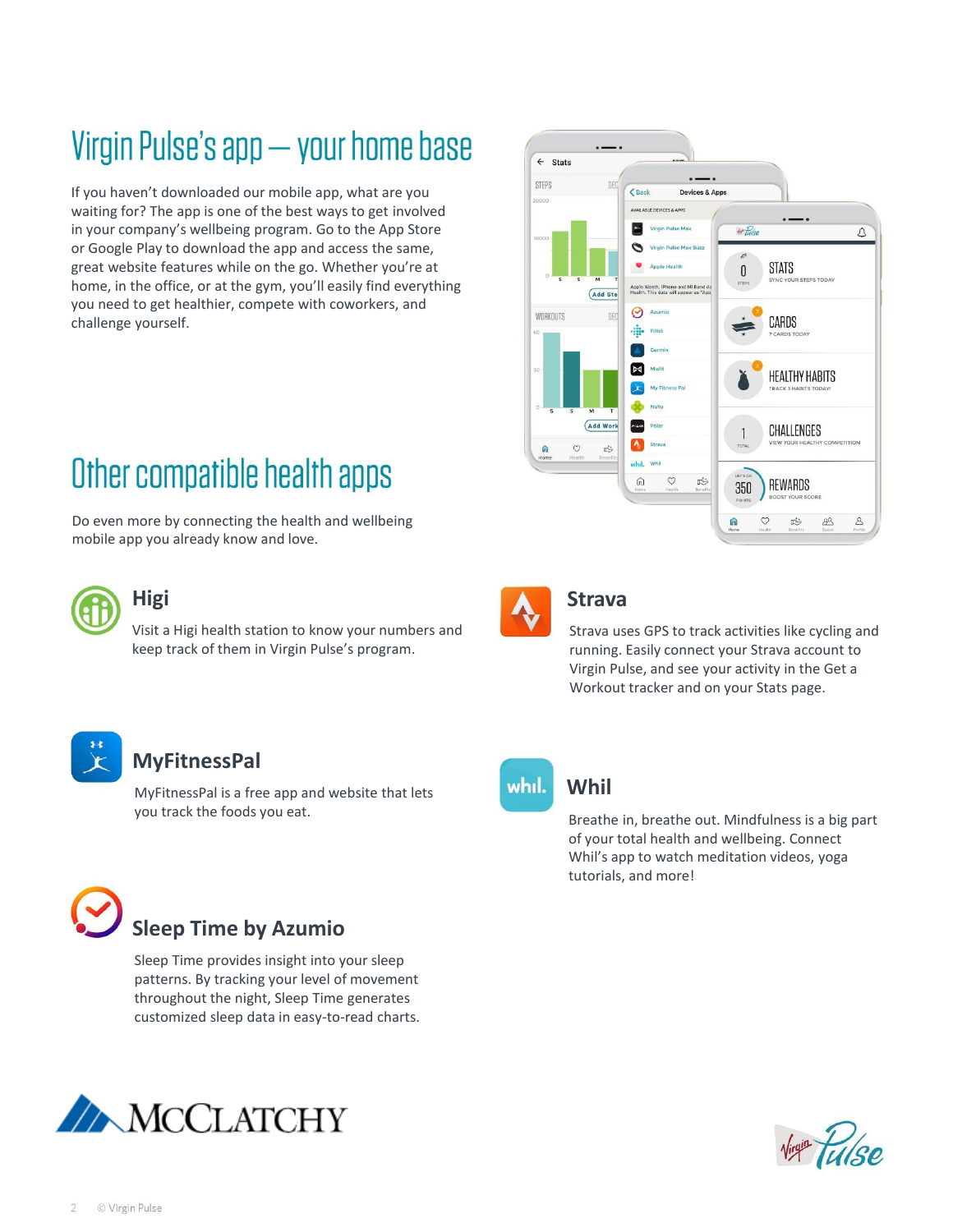# Virgin Pulse's app - your home base

If you haven't downloaded our mobile app, what are you waiting for? The app is one of the best ways to get involved in your company's wellbeing program. Go to the App Store or Google Play to download the app and access the same, great website features while on the go. Whether you're at home, in the office, or at the gym, you'll easily find everything you need to get healthier, compete with coworkers, and challenge yourself.

# Other compatible health apps

Do even more by connecting the health and wellbeing mobile app you already know and love.



#### **Higi**

Visit a Higi health station to know your numbers and keep track of them in Virgin Pulse's program.





#### **Strava**

Strava uses GPS to track activities like cycling and running. Easily connect your Strava account to Virgin Pulse, and see your activity in the Get a Workout tracker and on your Stats page.



### **MyFitnessPal**

MyFitnessPal is a free app and website that lets you track the foods you eat.



Sleep Time provides insight into your sleep patterns. By tracking your level of movement throughout the night, Sleep Time generates customized sleep data in easy-to-read charts.





#### **Whil**

Breathe in, breathe out. Mindfulness is a big part of your total health and wellbeing. Connect Whil's app to watch meditation videos, yoga tutorials, and more!